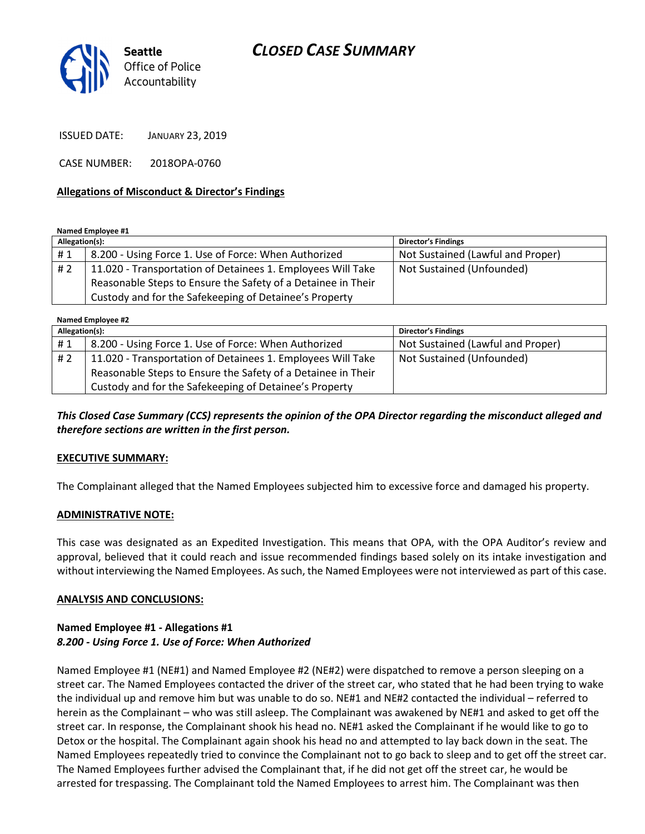# CLOSED CASE SUMMARY



ISSUED DATE: JANUARY 23, 2019

CASE NUMBER: 2018OPA-0760

### Allegations of Misconduct & Director's Findings

Named Employee #1

| Allegation(s): |                                                              | <b>Director's Findings</b>        |
|----------------|--------------------------------------------------------------|-----------------------------------|
| #1             | 8.200 - Using Force 1. Use of Force: When Authorized         | Not Sustained (Lawful and Proper) |
| #2             | 11.020 - Transportation of Detainees 1. Employees Will Take  | Not Sustained (Unfounded)         |
|                | Reasonable Steps to Ensure the Safety of a Detainee in Their |                                   |
|                | Custody and for the Safekeeping of Detainee's Property       |                                   |

Named Employee #2

| Allegation(s): |                                                              | <b>Director's Findings</b>        |
|----------------|--------------------------------------------------------------|-----------------------------------|
| #1             | 8.200 - Using Force 1. Use of Force: When Authorized         | Not Sustained (Lawful and Proper) |
| # 2            | 11.020 - Transportation of Detainees 1. Employees Will Take  | Not Sustained (Unfounded)         |
|                | Reasonable Steps to Ensure the Safety of a Detainee in Their |                                   |
|                | Custody and for the Safekeeping of Detainee's Property       |                                   |

This Closed Case Summary (CCS) represents the opinion of the OPA Director regarding the misconduct alleged and therefore sections are written in the first person.

#### EXECUTIVE SUMMARY:

The Complainant alleged that the Named Employees subjected him to excessive force and damaged his property.

#### ADMINISTRATIVE NOTE:

This case was designated as an Expedited Investigation. This means that OPA, with the OPA Auditor's review and approval, believed that it could reach and issue recommended findings based solely on its intake investigation and without interviewing the Named Employees. As such, the Named Employees were not interviewed as part of this case.

#### ANALYSIS AND CONCLUSIONS:

### Named Employee #1 - Allegations #1 8.200 - Using Force 1. Use of Force: When Authorized

Named Employee #1 (NE#1) and Named Employee #2 (NE#2) were dispatched to remove a person sleeping on a street car. The Named Employees contacted the driver of the street car, who stated that he had been trying to wake the individual up and remove him but was unable to do so. NE#1 and NE#2 contacted the individual – referred to herein as the Complainant – who was still asleep. The Complainant was awakened by NE#1 and asked to get off the street car. In response, the Complainant shook his head no. NE#1 asked the Complainant if he would like to go to Detox or the hospital. The Complainant again shook his head no and attempted to lay back down in the seat. The Named Employees repeatedly tried to convince the Complainant not to go back to sleep and to get off the street car. The Named Employees further advised the Complainant that, if he did not get off the street car, he would be arrested for trespassing. The Complainant told the Named Employees to arrest him. The Complainant was then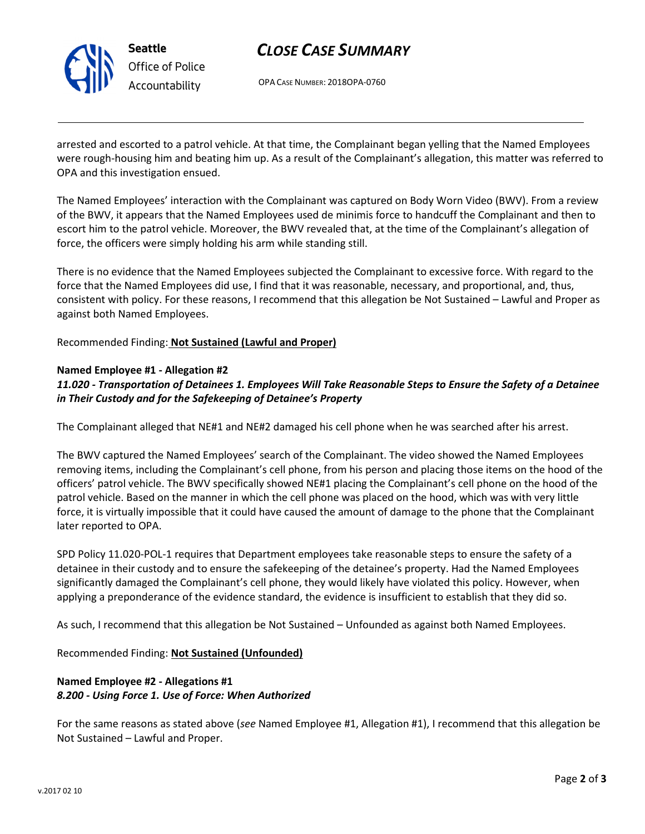

Seattle Office of Police Accountability

# CLOSE CASE SUMMARY

OPA CASE NUMBER: 2018OPA-0760

arrested and escorted to a patrol vehicle. At that time, the Complainant began yelling that the Named Employees were rough-housing him and beating him up. As a result of the Complainant's allegation, this matter was referred to OPA and this investigation ensued.

The Named Employees' interaction with the Complainant was captured on Body Worn Video (BWV). From a review of the BWV, it appears that the Named Employees used de minimis force to handcuff the Complainant and then to escort him to the patrol vehicle. Moreover, the BWV revealed that, at the time of the Complainant's allegation of force, the officers were simply holding his arm while standing still.

There is no evidence that the Named Employees subjected the Complainant to excessive force. With regard to the force that the Named Employees did use, I find that it was reasonable, necessary, and proportional, and, thus, consistent with policy. For these reasons, I recommend that this allegation be Not Sustained – Lawful and Proper as against both Named Employees.

Recommended Finding: Not Sustained (Lawful and Proper)

### Named Employee #1 - Allegation #2

## 11.020 - Transportation of Detainees 1. Employees Will Take Reasonable Steps to Ensure the Safety of a Detainee in Their Custody and for the Safekeeping of Detainee's Property

The Complainant alleged that NE#1 and NE#2 damaged his cell phone when he was searched after his arrest.

The BWV captured the Named Employees' search of the Complainant. The video showed the Named Employees removing items, including the Complainant's cell phone, from his person and placing those items on the hood of the officers' patrol vehicle. The BWV specifically showed NE#1 placing the Complainant's cell phone on the hood of the patrol vehicle. Based on the manner in which the cell phone was placed on the hood, which was with very little force, it is virtually impossible that it could have caused the amount of damage to the phone that the Complainant later reported to OPA.

SPD Policy 11.020-POL-1 requires that Department employees take reasonable steps to ensure the safety of a detainee in their custody and to ensure the safekeeping of the detainee's property. Had the Named Employees significantly damaged the Complainant's cell phone, they would likely have violated this policy. However, when applying a preponderance of the evidence standard, the evidence is insufficient to establish that they did so.

As such, I recommend that this allegation be Not Sustained – Unfounded as against both Named Employees.

Recommended Finding: Not Sustained (Unfounded)

## Named Employee #2 - Allegations #1 8.200 - Using Force 1. Use of Force: When Authorized

For the same reasons as stated above (see Named Employee #1, Allegation #1), I recommend that this allegation be Not Sustained – Lawful and Proper.